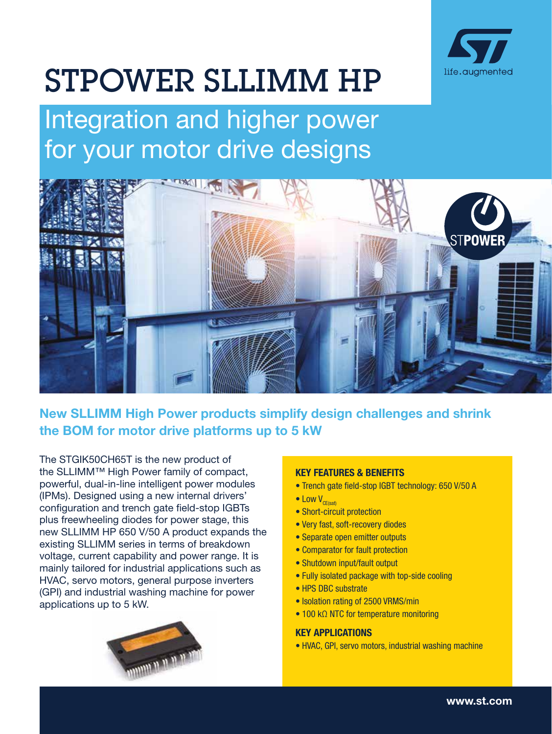

# STPOWER SLLIMM HP

Integration and higher power for your motor drive designs



# New SLLIMM High Power products simplify design challenges and shrink the BOM for motor drive platforms up to 5 kW

The STGIK50CH65T is the new product of the SLLIMM™ High Power family of compact, powerful, dual-in-line intelligent power modules (IPMs). Designed using a new internal drivers' configuration and trench gate field-stop IGBTs plus freewheeling diodes for power stage, this new SLLIMM HP 650 V/50 A product expands the existing SLLIMM series in terms of breakdown voltage, current capability and power range. It is mainly tailored for industrial applications such as HVAC, servo motors, general purpose inverters (GPI) and industrial washing machine for power applications up to 5 kW.



#### KEY FEATURES & BENEFITS

- Trench gate field-stop IGBT technology: 650 V/50 A
- $\bullet$  Low  $V_{\text{C}F(\text{sat})}$
- Short-circuit protection
- Very fast, soft-recovery diodes
- Separate open emitter outputs
- Comparator for fault protection
- Shutdown input/fault output
- Fully isolated package with top-side cooling
- HPS DBC substrate
- Isolation rating of 2500 VRMS/min
- 100 kΩ NTC for temperature monitoring

## KEY APPLICATIONS

• HVAC, GPI, servo motors, industrial washing machine